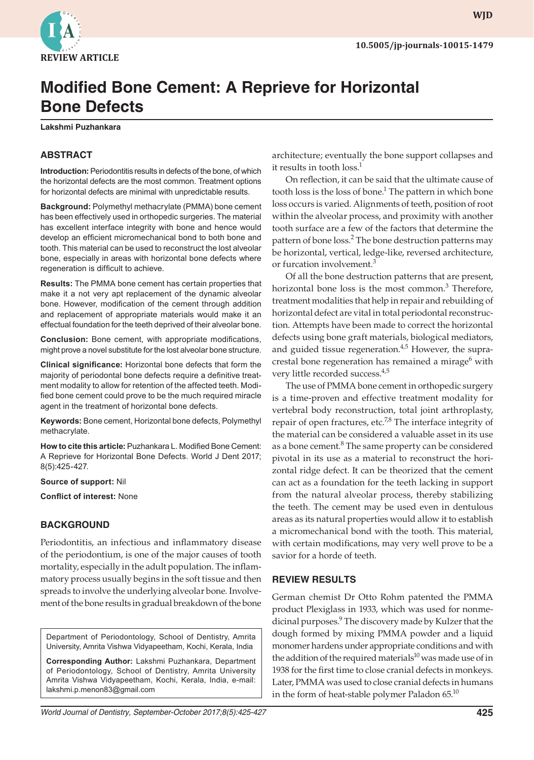

# **Modified Bone Cement: A Reprieve for Horizontal Bone Defects**

**Lakshmi Puzhankara**

# **ABSTRACT**

**Introduction:** Periodontitis results in defects of the bone, of which the horizontal defects are the most common. Treatment options for horizontal defects are minimal with unpredictable results.

**Background:** Polymethyl methacrylate (PMMA) bone cement has been effectively used in orthopedic surgeries. The material has excellent interface integrity with bone and hence would develop an efficient micromechanical bond to both bone and tooth. This material can be used to reconstruct the lost alveolar bone, especially in areas with horizontal bone defects where regeneration is difficult to achieve.

**Results:** The PMMA bone cement has certain properties that make it a not very apt replacement of the dynamic alveolar bone. However, modification of the cement through addition and replacement of appropriate materials would make it an effectual foundation for the teeth deprived of their alveolar bone.

**Conclusion:** Bone cement, with appropriate modifications, might prove a novel substitute for the lost alveolar bone structure.

**Clinical significance:** Horizontal bone defects that form the majority of periodontal bone defects require a definitive treatment modality to allow for retention of the affected teeth. Modified bone cement could prove to be the much required miracle agent in the treatment of horizontal bone defects.

**Keywords:** Bone cement, Horizontal bone defects, Polymethyl methacrylate.

**How to cite this article:** Puzhankara L. Modified Bone Cement: A Reprieve for Horizontal Bone Defects. World J Dent 2017; 8(5):425-427.

**Source of support:** Nil

**Conflict of interest:** None

## **BACKGROUND**

Periodontitis, an infectious and inflammatory disease of the periodontium, is one of the major causes of tooth mortality, especially in the adult population. The inflammatory process usually begins in the soft tissue and then spreads to involve the underlying alveolar bone. Involvement of the bone results in gradual breakdown of the bone

Department of Periodontology, School of Dentistry, Amrita University, Amrita Vishwa Vidyapeetham, Kochi, Kerala, India

**Corresponding Author:** Lakshmi Puzhankara, Department of Periodontology, School of Dentistry, Amrita University Amrita Vishwa Vidyapeetham, Kochi, Kerala, India, e-mail: lakshmi.p.menon83@gmail.com

architecture; eventually the bone support collapses and it results in tooth loss.<sup>1</sup>

On reflection, it can be said that the ultimate cause of tooth loss is the loss of bone. $^1$  The pattern in which bone loss occurs is varied. Alignments of teeth, position of root within the alveolar process, and proximity with another tooth surface are a few of the factors that determine the pattern of bone loss.<sup>2</sup> The bone destruction patterns may be horizontal, vertical, ledge-like, reversed architecture, or furcation involvement.<sup>3</sup>

Of all the bone destruction patterns that are present, horizontal bone loss is the most common.<sup>3</sup> Therefore, treatment modalities that help in repair and rebuilding of horizontal defect are vital in total periodontal reconstruction. Attempts have been made to correct the horizontal defects using bone graft materials, biological mediators, and guided tissue regeneration. $4.5$  However, the supracrestal bone regeneration has remained a mirage<sup>6</sup> with very little recorded success.<sup>4,5</sup>

The use of PMMA bone cement in orthopedic surgery is a time-proven and effective treatment modality for vertebral body reconstruction, total joint arthroplasty, repair of open fractures, etc.<sup>7,8</sup> The interface integrity of the material can be considered a valuable asset in its use as a bone cement.<sup>8</sup> The same property can be considered pivotal in its use as a material to reconstruct the horizontal ridge defect. It can be theorized that the cement can act as a foundation for the teeth lacking in support from the natural alveolar process, thereby stabilizing the teeth. The cement may be used even in dentulous areas as its natural properties would allow it to establish a micromechanical bond with the tooth. This material, with certain modifications, may very well prove to be a savior for a horde of teeth.

#### **REVIEW RESULTS**

German chemist Dr Otto Rohm patented the PMMA product Plexiglass in 1933, which was used for nonmedicinal purposes.<sup>9</sup> The discovery made by Kulzer that the dough formed by mixing PMMA powder and a liquid monomer hardens under appropriate conditions and with the addition of the required materials<sup>10</sup> was made use of in 1938 for the first time to close cranial defects in monkeys. Later, PMMA was used to close cranial defects in humans in the form of heat-stable polymer Paladon  $65^{10}$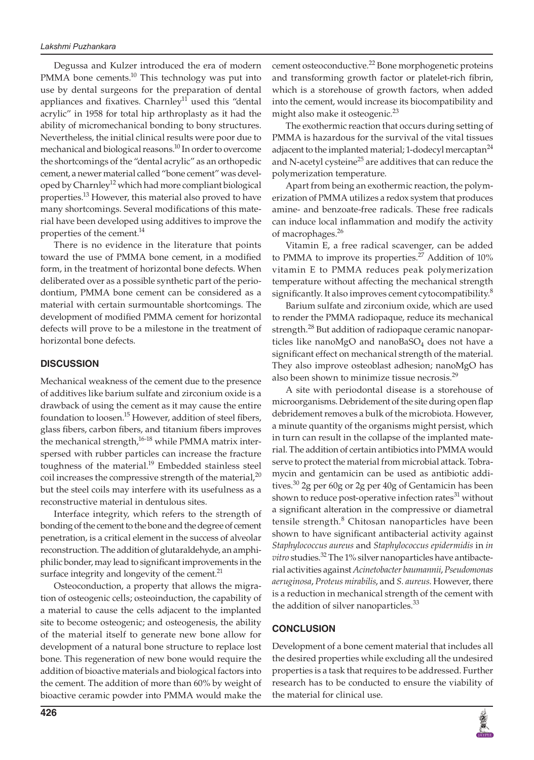Degussa and Kulzer introduced the era of modern PMMA bone cements. $10$  This technology was put into use by dental surgeons for the preparation of dental appliances and fixatives. Charnley<sup>11</sup> used this "dental acrylic" in 1958 for total hip arthroplasty as it had the ability of micromechanical bonding to bony structures. Nevertheless, the initial clinical results were poor due to mechanical and biological reasons.<sup>10</sup> In order to overcome the shortcomings of the "dental acrylic" as an orthopedic cement, a newer material called "bone cement" was developed by Charnley<sup>12</sup> which had more compliant biological properties.13 However, this material also proved to have many shortcomings. Several modifications of this material have been developed using additives to improve the properties of the cement.<sup>14</sup>

There is no evidence in the literature that points toward the use of PMMA bone cement, in a modified form, in the treatment of horizontal bone defects. When deliberated over as a possible synthetic part of the periodontium, PMMA bone cement can be considered as a material with certain surmountable shortcomings. The development of modified PMMA cement for horizontal defects will prove to be a milestone in the treatment of horizontal bone defects.

#### **DISCUSSION**

Mechanical weakness of the cement due to the presence of additives like barium sulfate and zirconium oxide is a drawback of using the cement as it may cause the entire foundation to loosen.<sup>15</sup> However, addition of steel fibers, glass fibers, carbon fibers, and titanium fibers improves the mechanical strength,<sup>16-18</sup> while PMMA matrix interspersed with rubber particles can increase the fracture toughness of the material.<sup>19</sup> Embedded stainless steel coil increases the compressive strength of the material, $^{20}$ but the steel coils may interfere with its usefulness as a reconstructive material in dentulous sites.

Interface integrity, which refers to the strength of bonding of the cement to the bone and the degree of cement penetration, is a critical element in the success of alveolar reconstruction. The addition of glutaraldehyde, an amphiphilic bonder, may lead to significant improvements in the surface integrity and longevity of the cement.<sup>21</sup>

Osteoconduction, a property that allows the migration of osteogenic cells; osteoinduction, the capability of a material to cause the cells adjacent to the implanted site to become osteogenic; and osteogenesis, the ability of the material itself to generate new bone allow for development of a natural bone structure to replace lost bone. This regeneration of new bone would require the addition of bioactive materials and biological factors into the cement. The addition of more than 60% by weight of bioactive ceramic powder into PMMA would make the

cement osteoconductive.<sup>22</sup> Bone morphogenetic proteins and transforming growth factor or platelet-rich fibrin, which is a storehouse of growth factors, when added into the cement, would increase its biocompatibility and might also make it osteogenic.<sup>23</sup>

The exothermic reaction that occurs during setting of PMMA is hazardous for the survival of the vital tissues adjacent to the implanted material; 1-dodecyl mercaptan $^{24}$ and N-acetyl cysteine<sup>25</sup> are additives that can reduce the polymerization temperature.

Apart from being an exothermic reaction, the polymerization of PMMA utilizes a redox system that produces amine- and benzoate-free radicals. These free radicals can induce local inflammation and modify the activity of macrophages.<sup>26</sup>

Vitamin E, a free radical scavenger, can be added to PMMA to improve its properties.<sup>27</sup> Addition of  $10\%$ vitamin E to PMMA reduces peak polymerization temperature without affecting the mechanical strength significantly. It also improves cement cytocompatibility. $8$ 

Barium sulfate and zirconium oxide, which are used to render the PMMA radiopaque, reduce its mechanical strength.<sup>28</sup> But addition of radiopaque ceramic nanoparticles like nanoMgO and nanoBa $SO_4$  does not have a significant effect on mechanical strength of the material. They also improve osteoblast adhesion; nanoMgO has also been shown to minimize tissue necrosis.<sup>29</sup>

A site with periodontal disease is a storehouse of microorganisms. Debridement of the site during open flap debridement removes a bulk of the microbiota. However, a minute quantity of the organisms might persist, which in turn can result in the collapse of the implanted material. The addition of certain antibiotics into PMMA would serve to protect the material from microbial attack. Tobramycin and gentamicin can be used as antibiotic additives.<sup>30</sup> 2g per 60g or 2g per 40g of Gentamicin has been shown to reduce post-operative infection rates<sup>31</sup> without a significant alteration in the compressive or diametral tensile strength.<sup>8</sup> Chitosan nanoparticles have been shown to have significant antibacterial activity against *Staphylococcus aureus* and *Staphylococcus epidermidis* in *in vitro* studies.32 The 1% silver nanoparticles have antibacterial activities against *Acinetobacter baumannii*, *Pseudomonas aeruginosa*, *Proteus mirabilis*, and *S. aureus*. However, there is a reduction in mechanical strength of the cement with the addition of silver nanoparticles.<sup>33</sup>

#### **CONCLUSION**

Development of a bone cement material that includes all the desired properties while excluding all the undesired properties is a task that requires to be addressed. Further research has to be conducted to ensure the viability of the material for clinical use.